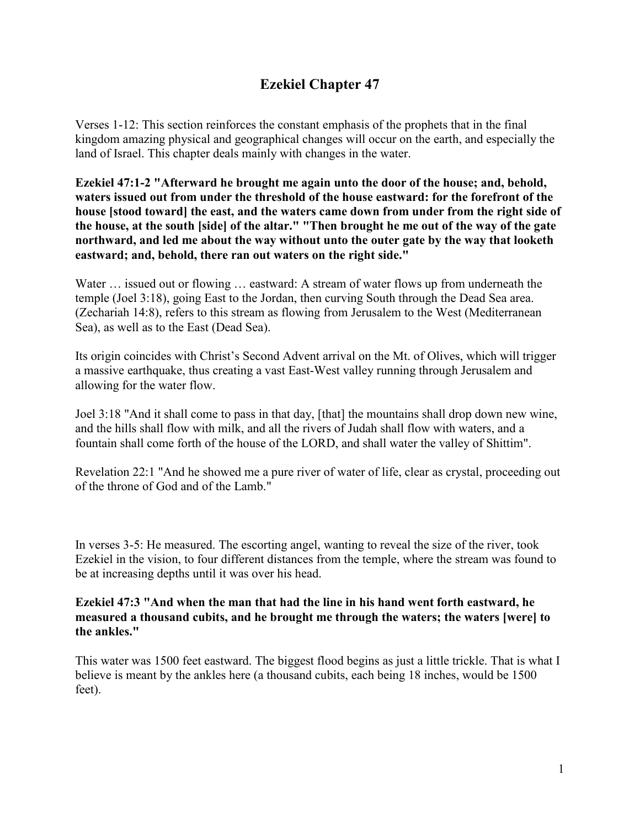# **Ezekiel Chapter 47**

Verses 1-12: This section reinforces the constant emphasis of the prophets that in the final kingdom amazing physical and geographical changes will occur on the earth, and especially the land of Israel. This chapter deals mainly with changes in the water.

**Ezekiel 47:1-2 "Afterward he brought me again unto the door of the house; and, behold, waters issued out from under the threshold of the house eastward: for the forefront of the house [stood toward] the east, and the waters came down from under from the right side of the house, at the south [side] of the altar." "Then brought he me out of the way of the gate northward, and led me about the way without unto the outer gate by the way that looketh eastward; and, behold, there ran out waters on the right side."**

Water ... issued out or flowing ... eastward: A stream of water flows up from underneath the temple (Joel 3:18), going East to the Jordan, then curving South through the Dead Sea area. (Zechariah 14:8), refers to this stream as flowing from Jerusalem to the West (Mediterranean Sea), as well as to the East (Dead Sea).

Its origin coincides with Christ's Second Advent arrival on the Mt. of Olives, which will trigger a massive earthquake, thus creating a vast East-West valley running through Jerusalem and allowing for the water flow.

Joel 3:18 "And it shall come to pass in that day, [that] the mountains shall drop down new wine, and the hills shall flow with milk, and all the rivers of Judah shall flow with waters, and a fountain shall come forth of the house of the LORD, and shall water the valley of Shittim".

Revelation 22:1 "And he showed me a pure river of water of life, clear as crystal, proceeding out of the throne of God and of the Lamb."

In verses 3-5: He measured. The escorting angel, wanting to reveal the size of the river, took Ezekiel in the vision, to four different distances from the temple, where the stream was found to be at increasing depths until it was over his head.

#### **Ezekiel 47:3 "And when the man that had the line in his hand went forth eastward, he measured a thousand cubits, and he brought me through the waters; the waters [were] to the ankles."**

This water was 1500 feet eastward. The biggest flood begins as just a little trickle. That is what I believe is meant by the ankles here (a thousand cubits, each being 18 inches, would be 1500 feet).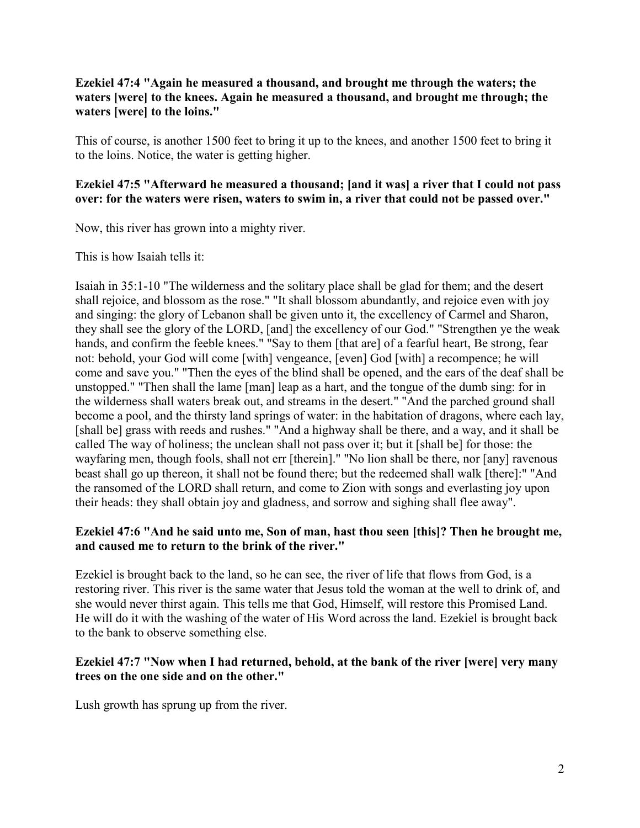### **Ezekiel 47:4 "Again he measured a thousand, and brought me through the waters; the waters [were] to the knees. Again he measured a thousand, and brought me through; the waters [were] to the loins."**

This of course, is another 1500 feet to bring it up to the knees, and another 1500 feet to bring it to the loins. Notice, the water is getting higher.

### **Ezekiel 47:5 "Afterward he measured a thousand; [and it was] a river that I could not pass over: for the waters were risen, waters to swim in, a river that could not be passed over."**

Now, this river has grown into a mighty river.

This is how Isaiah tells it:

Isaiah in 35:1-10 "The wilderness and the solitary place shall be glad for them; and the desert shall rejoice, and blossom as the rose." "It shall blossom abundantly, and rejoice even with joy and singing: the glory of Lebanon shall be given unto it, the excellency of Carmel and Sharon, they shall see the glory of the LORD, [and] the excellency of our God." "Strengthen ye the weak hands, and confirm the feeble knees." "Say to them [that are] of a fearful heart, Be strong, fear not: behold, your God will come [with] vengeance, [even] God [with] a recompence; he will come and save you." "Then the eyes of the blind shall be opened, and the ears of the deaf shall be unstopped." "Then shall the lame [man] leap as a hart, and the tongue of the dumb sing: for in the wilderness shall waters break out, and streams in the desert." "And the parched ground shall become a pool, and the thirsty land springs of water: in the habitation of dragons, where each lay, [shall be] grass with reeds and rushes." "And a highway shall be there, and a way, and it shall be called The way of holiness; the unclean shall not pass over it; but it [shall be] for those: the wayfaring men, though fools, shall not err [therein]." "No lion shall be there, nor [any] ravenous beast shall go up thereon, it shall not be found there; but the redeemed shall walk [there]:" "And the ransomed of the LORD shall return, and come to Zion with songs and everlasting joy upon their heads: they shall obtain joy and gladness, and sorrow and sighing shall flee away".

### **Ezekiel 47:6 "And he said unto me, Son of man, hast thou seen [this]? Then he brought me, and caused me to return to the brink of the river."**

Ezekiel is brought back to the land, so he can see, the river of life that flows from God, is a restoring river. This river is the same water that Jesus told the woman at the well to drink of, and she would never thirst again. This tells me that God, Himself, will restore this Promised Land. He will do it with the washing of the water of His Word across the land. Ezekiel is brought back to the bank to observe something else.

### **Ezekiel 47:7 "Now when I had returned, behold, at the bank of the river [were] very many trees on the one side and on the other."**

Lush growth has sprung up from the river.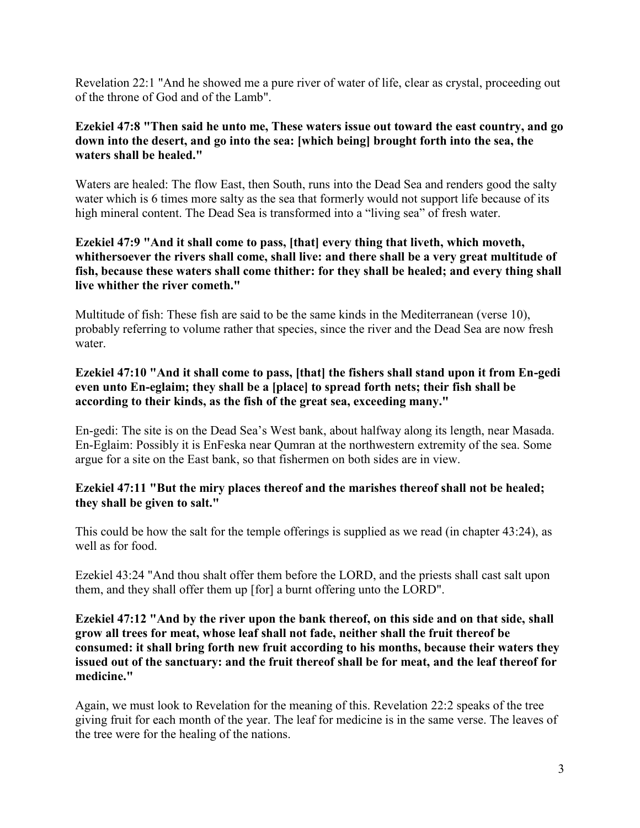Revelation 22:1 "And he showed me a pure river of water of life, clear as crystal, proceeding out of the throne of God and of the Lamb".

### **Ezekiel 47:8 "Then said he unto me, These waters issue out toward the east country, and go down into the desert, and go into the sea: [which being] brought forth into the sea, the waters shall be healed."**

Waters are healed: The flow East, then South, runs into the Dead Sea and renders good the salty water which is 6 times more salty as the sea that formerly would not support life because of its high mineral content. The Dead Sea is transformed into a "living sea" of fresh water.

### **Ezekiel 47:9 "And it shall come to pass, [that] every thing that liveth, which moveth, whithersoever the rivers shall come, shall live: and there shall be a very great multitude of fish, because these waters shall come thither: for they shall be healed; and every thing shall live whither the river cometh."**

Multitude of fish: These fish are said to be the same kinds in the Mediterranean (verse 10), probably referring to volume rather that species, since the river and the Dead Sea are now fresh water.

### **Ezekiel 47:10 "And it shall come to pass, [that] the fishers shall stand upon it from En-gedi even unto En-eglaim; they shall be a [place] to spread forth nets; their fish shall be according to their kinds, as the fish of the great sea, exceeding many."**

En-gedi: The site is on the Dead Sea's West bank, about halfway along its length, near Masada. En-Eglaim: Possibly it is EnFeska near Qumran at the northwestern extremity of the sea. Some argue for a site on the East bank, so that fishermen on both sides are in view.

### **Ezekiel 47:11 "But the miry places thereof and the marishes thereof shall not be healed; they shall be given to salt."**

This could be how the salt for the temple offerings is supplied as we read (in chapter 43:24), as well as for food.

Ezekiel 43:24 "And thou shalt offer them before the LORD, and the priests shall cast salt upon them, and they shall offer them up [for] a burnt offering unto the LORD".

### **Ezekiel 47:12 "And by the river upon the bank thereof, on this side and on that side, shall grow all trees for meat, whose leaf shall not fade, neither shall the fruit thereof be consumed: it shall bring forth new fruit according to his months, because their waters they issued out of the sanctuary: and the fruit thereof shall be for meat, and the leaf thereof for medicine."**

Again, we must look to Revelation for the meaning of this. Revelation 22:2 speaks of the tree giving fruit for each month of the year. The leaf for medicine is in the same verse. The leaves of the tree were for the healing of the nations.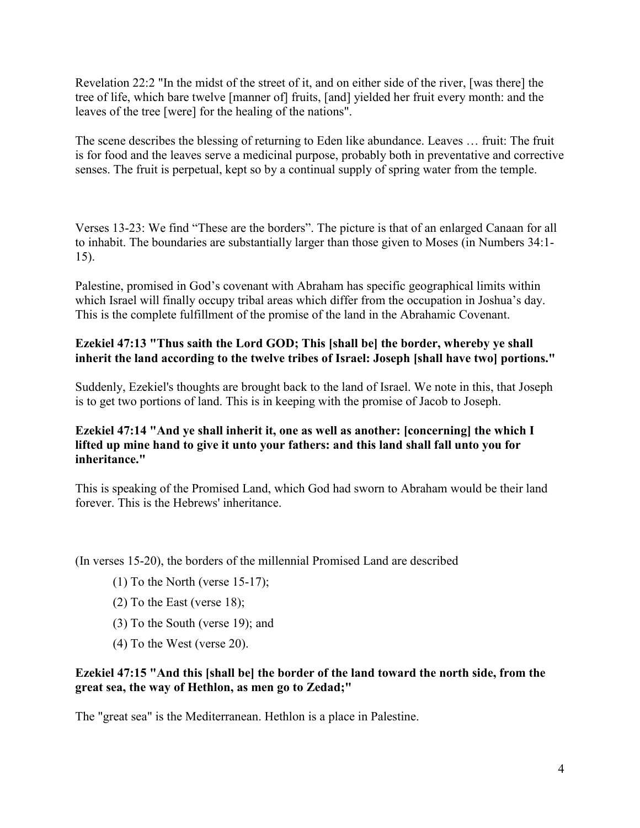Revelation 22:2 "In the midst of the street of it, and on either side of the river, [was there] the tree of life, which bare twelve [manner of] fruits, [and] yielded her fruit every month: and the leaves of the tree [were] for the healing of the nations".

The scene describes the blessing of returning to Eden like abundance. Leaves … fruit: The fruit is for food and the leaves serve a medicinal purpose, probably both in preventative and corrective senses. The fruit is perpetual, kept so by a continual supply of spring water from the temple.

Verses 13-23: We find "These are the borders". The picture is that of an enlarged Canaan for all to inhabit. The boundaries are substantially larger than those given to Moses (in Numbers 34:1- 15).

Palestine, promised in God's covenant with Abraham has specific geographical limits within which Israel will finally occupy tribal areas which differ from the occupation in Joshua's day. This is the complete fulfillment of the promise of the land in the Abrahamic Covenant.

### **Ezekiel 47:13 "Thus saith the Lord GOD; This [shall be] the border, whereby ye shall inherit the land according to the twelve tribes of Israel: Joseph [shall have two] portions."**

Suddenly, Ezekiel's thoughts are brought back to the land of Israel. We note in this, that Joseph is to get two portions of land. This is in keeping with the promise of Jacob to Joseph.

### **Ezekiel 47:14 "And ye shall inherit it, one as well as another: [concerning] the which I lifted up mine hand to give it unto your fathers: and this land shall fall unto you for inheritance."**

This is speaking of the Promised Land, which God had sworn to Abraham would be their land forever. This is the Hebrews' inheritance.

(In verses 15-20), the borders of the millennial Promised Land are described

- (1) To the North (verse  $15-17$ );
- (2) To the East (verse 18);
- (3) To the South (verse 19); and
- (4) To the West (verse 20).

### **Ezekiel 47:15 "And this [shall be] the border of the land toward the north side, from the great sea, the way of Hethlon, as men go to Zedad;"**

The "great sea" is the Mediterranean. Hethlon is a place in Palestine.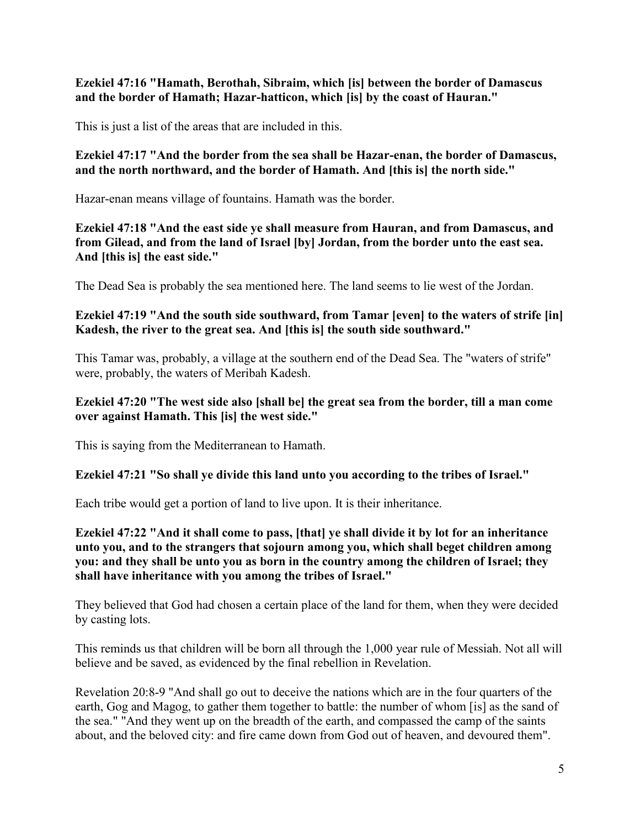### **Ezekiel 47:16 "Hamath, Berothah, Sibraim, which [is] between the border of Damascus and the border of Hamath; Hazar-hatticon, which [is] by the coast of Hauran."**

This is just a list of the areas that are included in this.

### **Ezekiel 47:17 "And the border from the sea shall be Hazar-enan, the border of Damascus, and the north northward, and the border of Hamath. And [this is] the north side."**

Hazar-enan means village of fountains. Hamath was the border.

**Ezekiel 47:18 "And the east side ye shall measure from Hauran, and from Damascus, and from Gilead, and from the land of Israel [by] Jordan, from the border unto the east sea. And [this is] the east side."**

The Dead Sea is probably the sea mentioned here. The land seems to lie west of the Jordan.

### **Ezekiel 47:19 "And the south side southward, from Tamar [even] to the waters of strife [in] Kadesh, the river to the great sea. And [this is] the south side southward."**

This Tamar was, probably, a village at the southern end of the Dead Sea. The "waters of strife" were, probably, the waters of Meribah Kadesh.

### **Ezekiel 47:20 "The west side also [shall be] the great sea from the border, till a man come over against Hamath. This [is] the west side."**

This is saying from the Mediterranean to Hamath.

### **Ezekiel 47:21 "So shall ye divide this land unto you according to the tribes of Israel."**

Each tribe would get a portion of land to live upon. It is their inheritance.

**Ezekiel 47:22 "And it shall come to pass, [that] ye shall divide it by lot for an inheritance unto you, and to the strangers that sojourn among you, which shall beget children among you: and they shall be unto you as born in the country among the children of Israel; they shall have inheritance with you among the tribes of Israel."**

They believed that God had chosen a certain place of the land for them, when they were decided by casting lots.

This reminds us that children will be born all through the 1,000 year rule of Messiah. Not all will believe and be saved, as evidenced by the final rebellion in Revelation.

Revelation 20:8-9 "And shall go out to deceive the nations which are in the four quarters of the earth, Gog and Magog, to gather them together to battle: the number of whom [is] as the sand of the sea." "And they went up on the breadth of the earth, and compassed the camp of the saints about, and the beloved city: and fire came down from God out of heaven, and devoured them".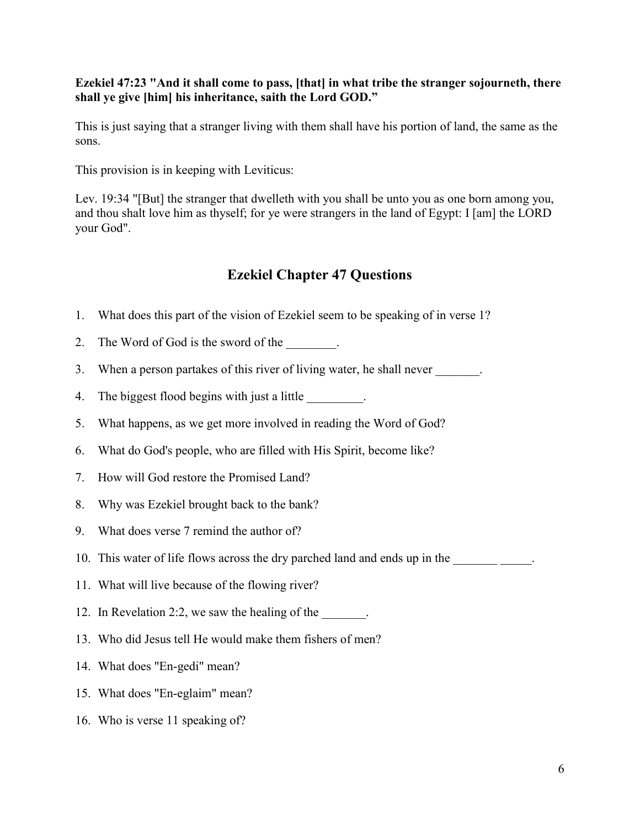### **Ezekiel 47:23 "And it shall come to pass, [that] in what tribe the stranger sojourneth, there shall ye give [him] his inheritance, saith the Lord GOD."**

This is just saying that a stranger living with them shall have his portion of land, the same as the sons.

This provision is in keeping with Leviticus:

Lev. 19:34 "[But] the stranger that dwelleth with you shall be unto you as one born among you, and thou shalt love him as thyself; for ye were strangers in the land of Egypt: I [am] the LORD your God".

## **Ezekiel Chapter 47 Questions**

- 1. What does this part of the vision of Ezekiel seem to be speaking of in verse 1?
- 2. The Word of God is the sword of the  $\blacksquare$ .
- 3. When a person partakes of this river of living water, he shall never
- 4. The biggest flood begins with just a little \_\_\_\_\_\_\_\_\_.
- 5. What happens, as we get more involved in reading the Word of God?
- 6. What do God's people, who are filled with His Spirit, become like?
- 7. How will God restore the Promised Land?
- 8. Why was Ezekiel brought back to the bank?
- 9. What does verse 7 remind the author of?
- 10. This water of life flows across the dry parched land and ends up in the \_\_\_\_\_\_\_\_\_\_\_\_\_.
- 11. What will live because of the flowing river?
- 12. In Revelation 2:2, we saw the healing of the
- 13. Who did Jesus tell He would make them fishers of men?
- 14. What does "En-gedi" mean?
- 15. What does "En-eglaim" mean?
- 16. Who is verse 11 speaking of?